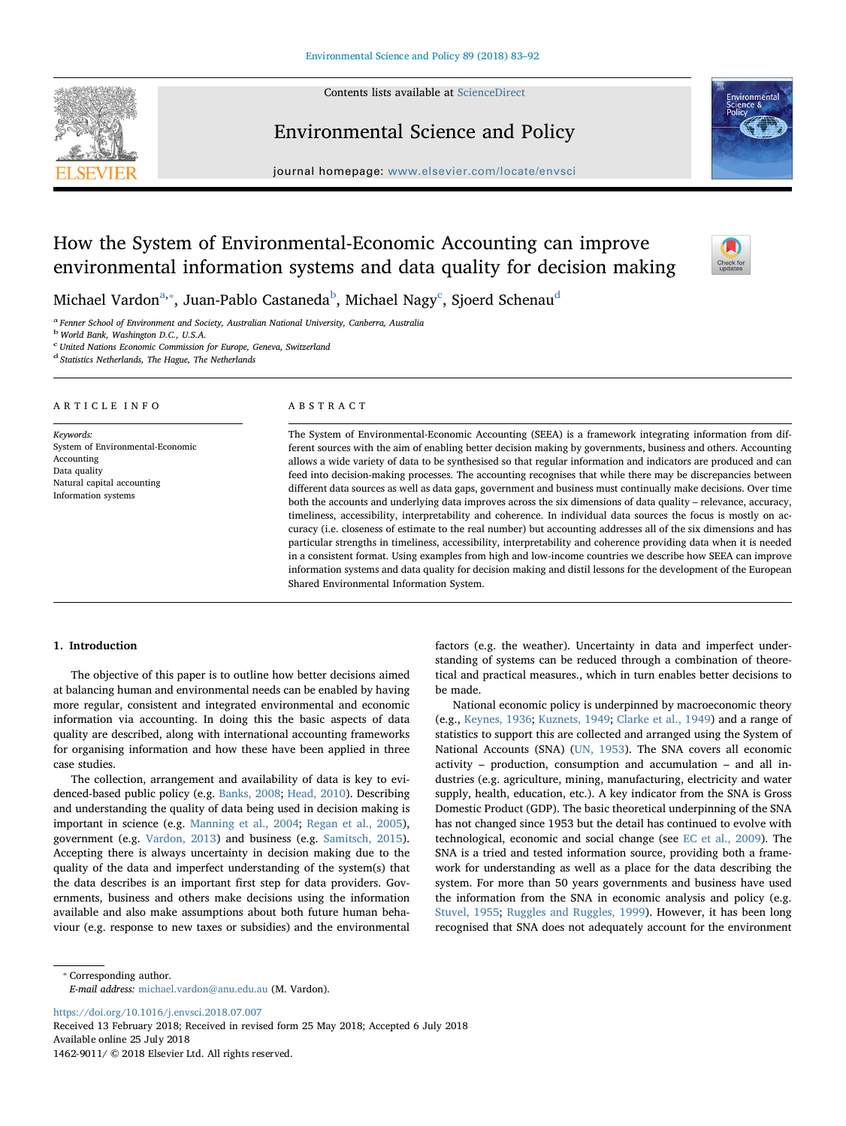Contents lists available at [ScienceDirect](http://www.sciencedirect.com/science/journal/14629011)



## Environmental Science and Policy

journal homepage: [www.elsevier.com/locate/envsci](https://www.elsevier.com/locate/envsci)



# How the System of Environmental-Economic Accounting can improve environmental information systems and data quality for decision making



Mi[c](#page-0-3)hael Var[d](#page-0-4)on $^{\mathrm{a},*}$ , Juan-Pa[b](#page-0-2)lo Castaneda $^{\mathrm{b}}$ , Michael Nagy $^{\mathrm{c}}$ , Sjoerd Schenau $^{\mathrm{d}}$ 

<span id="page-0-0"></span><sup>a</sup> Fenner School of Environment and Society, Australian National University, Canberra, Australia

<span id="page-0-2"></span><sup>b</sup> World Bank, Washington D.C., U.S.A.

<span id="page-0-3"></span><sup>c</sup> United Nations Economic Commission for Europe, Geneva, Switzerland

<span id="page-0-4"></span><sup>d</sup> Statistics Netherlands, The Hague, The Netherlands

ARTICLE INFO

#### ABSTRACT

Keywords: System of Environmental-Economic Accounting Data quality Natural capital accounting Information systems

The System of Environmental-Economic Accounting (SEEA) is a framework integrating information from different sources with the aim of enabling better decision making by governments, business and others. Accounting allows a wide variety of data to be synthesised so that regular information and indicators are produced and can feed into decision-making processes. The accounting recognises that while there may be discrepancies between different data sources as well as data gaps, government and business must continually make decisions. Over time both the accounts and underlying data improves across the six dimensions of data quality – relevance, accuracy, timeliness, accessibility, interpretability and coherence. In individual data sources the focus is mostly on accuracy (i.e. closeness of estimate to the real number) but accounting addresses all of the six dimensions and has particular strengths in timeliness, accessibility, interpretability and coherence providing data when it is needed in a consistent format. Using examples from high and low-income countries we describe how SEEA can improve information systems and data quality for decision making and distil lessons for the development of the European Shared Environmental Information System.

## 1. Introduction

The objective of this paper is to outline how better decisions aimed at balancing human and environmental needs can be enabled by having more regular, consistent and integrated environmental and economic information via accounting. In doing this the basic aspects of data quality are described, along with international accounting frameworks for organising information and how these have been applied in three case studies.

The collection, arrangement and availability of data is key to evidenced-based public policy (e.g. [Banks, 2008;](#page-7-0) [Head, 2010](#page-8-0)). Describing and understanding the quality of data being used in decision making is important in science (e.g. [Manning et al., 2004;](#page-8-1) [Regan et al., 2005](#page-8-2)), government (e.g. [Vardon, 2013](#page-9-0)) and business (e.g. [Samitsch, 2015](#page-8-3)). Accepting there is always uncertainty in decision making due to the quality of the data and imperfect understanding of the system(s) that the data describes is an important first step for data providers. Governments, business and others make decisions using the information available and also make assumptions about both future human behaviour (e.g. response to new taxes or subsidies) and the environmental factors (e.g. the weather). Uncertainty in data and imperfect understanding of systems can be reduced through a combination of theoretical and practical measures., which in turn enables better decisions to be made.

National economic policy is underpinned by macroeconomic theory (e.g., [Keynes, 1936;](#page-8-4) [Kuznets, 1949;](#page-8-5) [Clarke et al., 1949](#page-7-1)) and a range of statistics to support this are collected and arranged using the System of National Accounts (SNA) ([UN, 1953\)](#page-8-6). The SNA covers all economic activity – production, consumption and accumulation – and all industries (e.g. agriculture, mining, manufacturing, electricity and water supply, health, education, etc.). A key indicator from the SNA is Gross Domestic Product (GDP). The basic theoretical underpinning of the SNA has not changed since 1953 but the detail has continued to evolve with technological, economic and social change (see [EC et al., 2009\)](#page-8-7). The SNA is a tried and tested information source, providing both a framework for understanding as well as a place for the data describing the system. For more than 50 years governments and business have used the information from the SNA in economic analysis and policy (e.g. [Stuvel, 1955;](#page-8-8) [Ruggles and Ruggles, 1999](#page-8-9)). However, it has been long recognised that SNA does not adequately account for the environment

<span id="page-0-1"></span>⁎ Corresponding author.

E-mail address: [michael.vardon@anu.edu.au](mailto:michael.vardon@anu.edu.au) (M. Vardon).

<https://doi.org/10.1016/j.envsci.2018.07.007>

Received 13 February 2018; Received in revised form 25 May 2018; Accepted 6 July 2018 Available online 25 July 2018 1462-9011/ © 2018 Elsevier Ltd. All rights reserved.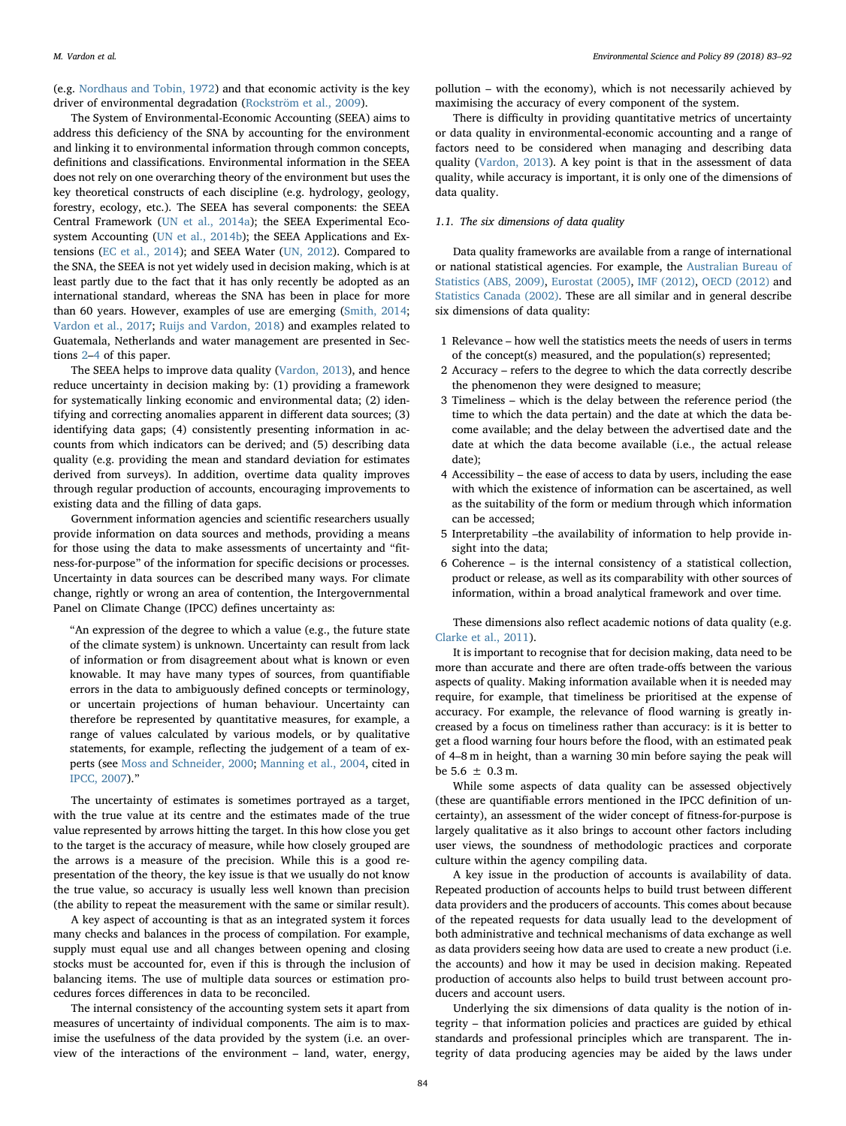(e.g. [Nordhaus and Tobin, 1972](#page-8-10)) and that economic activity is the key driver of environmental degradation [\(Rockström et al., 2009](#page-8-11)).

The System of Environmental-Economic Accounting (SEEA) aims to address this deficiency of the SNA by accounting for the environment and linking it to environmental information through common concepts, definitions and classifications. Environmental information in the SEEA does not rely on one overarching theory of the environment but uses the key theoretical constructs of each discipline (e.g. hydrology, geology, forestry, ecology, etc.). The SEEA has several components: the SEEA Central Framework ([UN et al., 2014a](#page-8-12)); the SEEA Experimental Ecosystem Accounting [\(UN et al., 2014b](#page-8-13)); the SEEA Applications and Extensions [\(EC et al., 2014](#page-8-14)); and SEEA Water ([UN, 2012](#page-8-15)). Compared to the SNA, the SEEA is not yet widely used in decision making, which is at least partly due to the fact that it has only recently be adopted as an international standard, whereas the SNA has been in place for more than 60 years. However, examples of use are emerging ([Smith, 2014](#page-8-16); [Vardon et al., 2017](#page-9-1); [Ruijs and Vardon, 2018](#page-8-17)) and examples related to Guatemala, Netherlands and water management are presented in Sections [2](#page-2-0)–[4](#page-5-0) of this paper.

The SEEA helps to improve data quality ([Vardon, 2013\)](#page-9-0), and hence reduce uncertainty in decision making by: (1) providing a framework for systematically linking economic and environmental data; (2) identifying and correcting anomalies apparent in different data sources; (3) identifying data gaps; (4) consistently presenting information in accounts from which indicators can be derived; and (5) describing data quality (e.g. providing the mean and standard deviation for estimates derived from surveys). In addition, overtime data quality improves through regular production of accounts, encouraging improvements to existing data and the filling of data gaps.

Government information agencies and scientific researchers usually provide information on data sources and methods, providing a means for those using the data to make assessments of uncertainty and "fitness-for-purpose" of the information for specific decisions or processes. Uncertainty in data sources can be described many ways. For climate change, rightly or wrong an area of contention, the Intergovernmental Panel on Climate Change (IPCC) defines uncertainty as:

"An expression of the degree to which a value (e.g., the future state of the climate system) is unknown. Uncertainty can result from lack of information or from disagreement about what is known or even knowable. It may have many types of sources, from quantifiable errors in the data to ambiguously defined concepts or terminology, or uncertain projections of human behaviour. Uncertainty can therefore be represented by quantitative measures, for example, a range of values calculated by various models, or by qualitative statements, for example, reflecting the judgement of a team of experts (see [Moss and Schneider, 2000;](#page-8-18) [Manning et al., 2004](#page-8-1), cited in [IPCC, 2007](#page-8-19))."

The uncertainty of estimates is sometimes portrayed as a target, with the true value at its centre and the estimates made of the true value represented by arrows hitting the target. In this how close you get to the target is the accuracy of measure, while how closely grouped are the arrows is a measure of the precision. While this is a good representation of the theory, the key issue is that we usually do not know the true value, so accuracy is usually less well known than precision (the ability to repeat the measurement with the same or similar result).

A key aspect of accounting is that as an integrated system it forces many checks and balances in the process of compilation. For example, supply must equal use and all changes between opening and closing stocks must be accounted for, even if this is through the inclusion of balancing items. The use of multiple data sources or estimation procedures forces differences in data to be reconciled.

The internal consistency of the accounting system sets it apart from measures of uncertainty of individual components. The aim is to maximise the usefulness of the data provided by the system (i.e. an overview of the interactions of the environment – land, water, energy,

pollution – with the economy), which is not necessarily achieved by maximising the accuracy of every component of the system.

There is difficulty in providing quantitative metrics of uncertainty or data quality in environmental-economic accounting and a range of factors need to be considered when managing and describing data quality [\(Vardon, 2013\)](#page-9-0). A key point is that in the assessment of data quality, while accuracy is important, it is only one of the dimensions of data quality.

## 1.1. The six dimensions of data quality

Data quality frameworks are available from a range of international or national statistical agencies. For example, the [Australian Bureau of](#page-7-2) [Statistics \(ABS, 2009\),](#page-7-2) [Eurostat \(2005\)](#page-8-20), [IMF \(2012\),](#page-8-21) [OECD \(2012\)](#page-8-22) and [Statistics Canada \(2002\).](#page-8-23) These are all similar and in general describe six dimensions of data quality:

- 1 Relevance how well the statistics meets the needs of users in terms of the concept(s) measured, and the population(s) represented;
- 2 Accuracy refers to the degree to which the data correctly describe the phenomenon they were designed to measure;
- 3 Timeliness which is the delay between the reference period (the time to which the data pertain) and the date at which the data become available; and the delay between the advertised date and the date at which the data become available (i.e., the actual release date);
- 4 Accessibility the ease of access to data by users, including the ease with which the existence of information can be ascertained, as well as the suitability of the form or medium through which information can be accessed;
- 5 Interpretability –the availability of information to help provide insight into the data;
- 6 Coherence is the internal consistency of a statistical collection, product or release, as well as its comparability with other sources of information, within a broad analytical framework and over time.

These dimensions also reflect academic notions of data quality (e.g. [Clarke et al., 2011\)](#page-7-3).

It is important to recognise that for decision making, data need to be more than accurate and there are often trade-offs between the various aspects of quality. Making information available when it is needed may require, for example, that timeliness be prioritised at the expense of accuracy. For example, the relevance of flood warning is greatly increased by a focus on timeliness rather than accuracy: is it is better to get a flood warning four hours before the flood, with an estimated peak of 4–8 m in height, than a warning 30 min before saying the peak will be 5.6  $\pm$  0.3 m.

While some aspects of data quality can be assessed objectively (these are quantifiable errors mentioned in the IPCC definition of uncertainty), an assessment of the wider concept of fitness-for-purpose is largely qualitative as it also brings to account other factors including user views, the soundness of methodologic practices and corporate culture within the agency compiling data.

A key issue in the production of accounts is availability of data. Repeated production of accounts helps to build trust between different data providers and the producers of accounts. This comes about because of the repeated requests for data usually lead to the development of both administrative and technical mechanisms of data exchange as well as data providers seeing how data are used to create a new product (i.e. the accounts) and how it may be used in decision making. Repeated production of accounts also helps to build trust between account producers and account users.

Underlying the six dimensions of data quality is the notion of integrity – that information policies and practices are guided by ethical standards and professional principles which are transparent. The integrity of data producing agencies may be aided by the laws under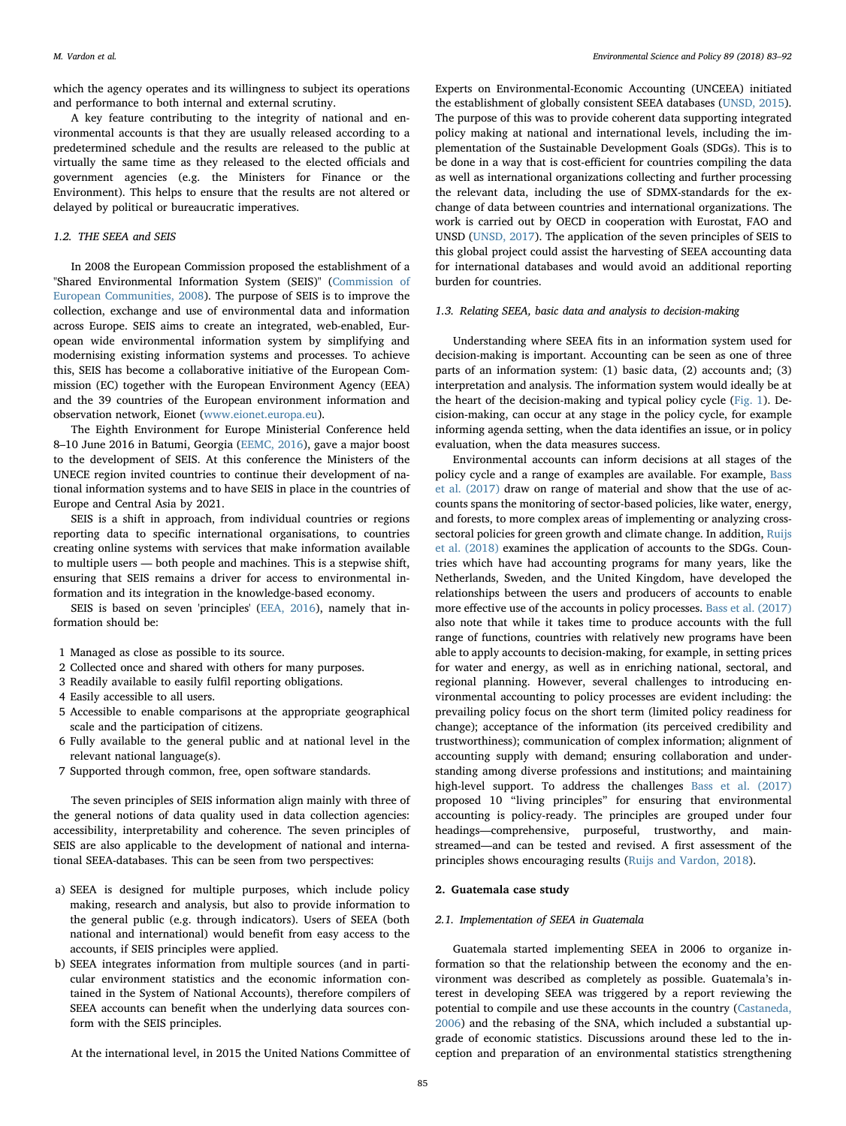which the agency operates and its willingness to subject its operations and performance to both internal and external scrutiny.

A key feature contributing to the integrity of national and environmental accounts is that they are usually released according to a predetermined schedule and the results are released to the public at virtually the same time as they released to the elected officials and government agencies (e.g. the Ministers for Finance or the Environment). This helps to ensure that the results are not altered or delayed by political or bureaucratic imperatives.

## 1.2. THE SEEA and SEIS

In 2008 the European Commission proposed the establishment of a "Shared Environmental Information System (SEIS)" [\(Commission of](#page-7-4) [European Communities, 2008\)](#page-7-4). The purpose of SEIS is to improve the collection, exchange and use of environmental data and information across Europe. SEIS aims to create an integrated, web-enabled, European wide environmental information system by simplifying and modernising existing information systems and processes. To achieve this, SEIS has become a collaborative initiative of the European Commission (EC) together with the European Environment Agency (EEA) and the 39 countries of the European environment information and observation network, Eionet ([www.eionet.europa.eu\)](http://www.eionet.europa.eu).

The Eighth Environment for Europe Ministerial Conference held 8–10 June 2016 in Batumi, Georgia ([EEMC, 2016\)](#page-8-24), gave a major boost to the development of SEIS. At this conference the Ministers of the UNECE region invited countries to continue their development of national information systems and to have SEIS in place in the countries of Europe and Central Asia by 2021.

SEIS is a shift in approach, from individual countries or regions reporting data to specific international organisations, to countries creating online systems with services that make information available to multiple users — both people and machines. This is a stepwise shift, ensuring that SEIS remains a driver for access to environmental information and its integration in the knowledge-based economy.

SEIS is based on seven 'principles' ([EEA, 2016](#page-8-25)), namely that information should be:

- 1 Managed as close as possible to its source.
- 2 Collected once and shared with others for many purposes.
- 3 Readily available to easily fulfil reporting obligations.
- 4 Easily accessible to all users.
- 5 Accessible to enable comparisons at the appropriate geographical scale and the participation of citizens.
- 6 Fully available to the general public and at national level in the relevant national language(s).
- 7 Supported through common, free, open software standards.

The seven principles of SEIS information align mainly with three of the general notions of data quality used in data collection agencies: accessibility, interpretability and coherence. The seven principles of SEIS are also applicable to the development of national and international SEEA-databases. This can be seen from two perspectives:

- a) SEEA is designed for multiple purposes, which include policy making, research and analysis, but also to provide information to the general public (e.g. through indicators). Users of SEEA (both national and international) would benefit from easy access to the accounts, if SEIS principles were applied.
- b) SEEA integrates information from multiple sources (and in particular environment statistics and the economic information contained in the System of National Accounts), therefore compilers of SEEA accounts can benefit when the underlying data sources conform with the SEIS principles.

At the international level, in 2015 the United Nations Committee of

Experts on Environmental-Economic Accounting (UNCEEA) initiated the establishment of globally consistent SEEA databases ([UNSD, 2015](#page-9-2)). The purpose of this was to provide coherent data supporting integrated policy making at national and international levels, including the implementation of the Sustainable Development Goals (SDGs). This is to be done in a way that is cost-efficient for countries compiling the data as well as international organizations collecting and further processing the relevant data, including the use of SDMX-standards for the exchange of data between countries and international organizations. The work is carried out by OECD in cooperation with Eurostat, FAO and UNSD [\(UNSD, 2017\)](#page-9-3). The application of the seven principles of SEIS to this global project could assist the harvesting of SEEA accounting data for international databases and would avoid an additional reporting burden for countries.

## 1.3. Relating SEEA, basic data and analysis to decision-making

Understanding where SEEA fits in an information system used for decision-making is important. Accounting can be seen as one of three parts of an information system: (1) basic data, (2) accounts and; (3) interpretation and analysis. The information system would ideally be at the heart of the decision-making and typical policy cycle [\(Fig. 1\)](#page-3-0). Decision-making, can occur at any stage in the policy cycle, for example informing agenda setting, when the data identifies an issue, or in policy evaluation, when the data measures success.

Environmental accounts can inform decisions at all stages of the policy cycle and a range of examples are available. For example, [Bass](#page-7-5) [et al. \(2017\)](#page-7-5) draw on range of material and show that the use of accounts spans the monitoring of sector-based policies, like water, energy, and forests, to more complex areas of implementing or analyzing crosssectoral policies for green growth and climate change. In addition, [Ruijs](#page-8-26) [et al. \(2018\)](#page-8-26) examines the application of accounts to the SDGs. Countries which have had accounting programs for many years, like the Netherlands, Sweden, and the United Kingdom, have developed the relationships between the users and producers of accounts to enable more effective use of the accounts in policy processes. [Bass et al. \(2017\)](#page-7-5) also note that while it takes time to produce accounts with the full range of functions, countries with relatively new programs have been able to apply accounts to decision-making, for example, in setting prices for water and energy, as well as in enriching national, sectoral, and regional planning. However, several challenges to introducing environmental accounting to policy processes are evident including: the prevailing policy focus on the short term (limited policy readiness for change); acceptance of the information (its perceived credibility and trustworthiness); communication of complex information; alignment of accounting supply with demand; ensuring collaboration and understanding among diverse professions and institutions; and maintaining high-level support. To address the challenges [Bass et al. \(2017\)](#page-7-5) proposed 10 "living principles" for ensuring that environmental accounting is policy-ready. The principles are grouped under four headings—comprehensive, purposeful, trustworthy, and mainstreamed—and can be tested and revised. A first assessment of the principles shows encouraging results ([Ruijs and Vardon, 2018](#page-8-17)).

## <span id="page-2-0"></span>2. Guatemala case study

## 2.1. Implementation of SEEA in Guatemala

Guatemala started implementing SEEA in 2006 to organize information so that the relationship between the economy and the environment was described as completely as possible. Guatemala's interest in developing SEEA was triggered by a report reviewing the potential to compile and use these accounts in the country [\(Castaneda,](#page-7-6) [2006\)](#page-7-6) and the rebasing of the SNA, which included a substantial upgrade of economic statistics. Discussions around these led to the inception and preparation of an environmental statistics strengthening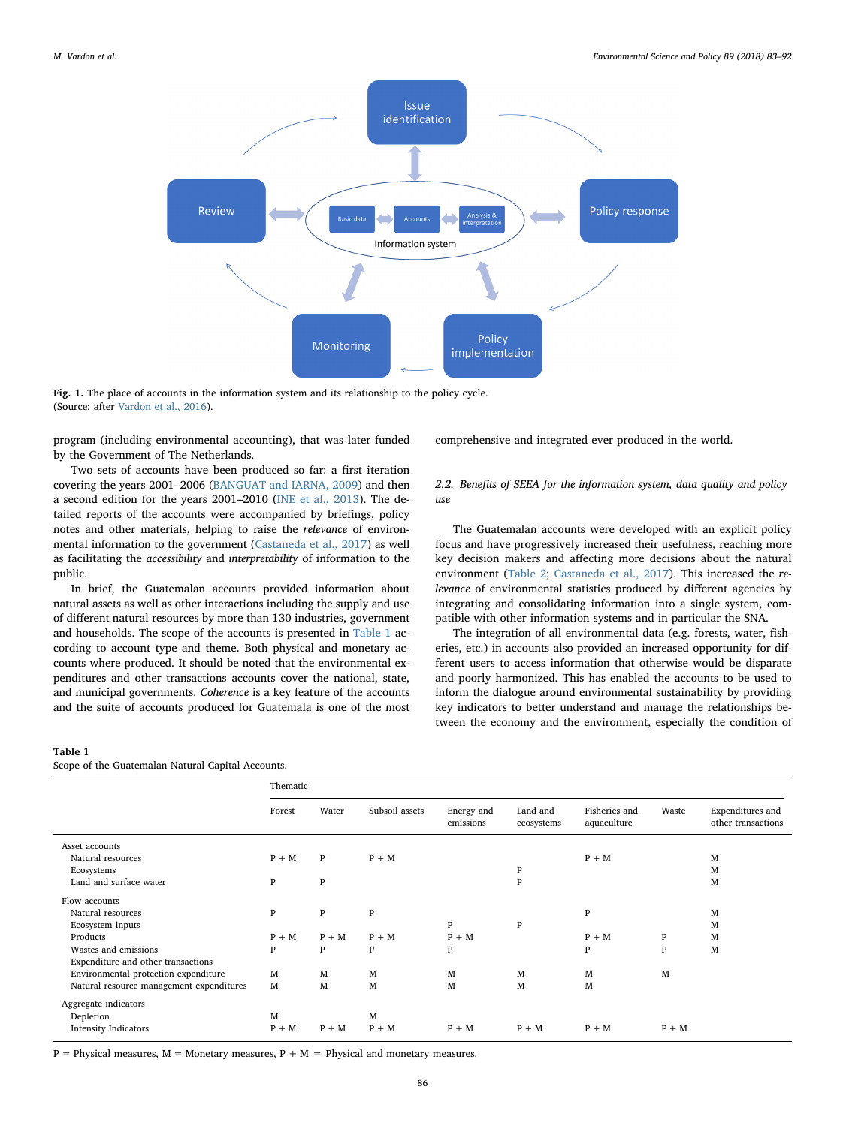<span id="page-3-0"></span>

Fig. 1. The place of accounts in the information system and its relationship to the policy cycle. (Source: after [Vardon et al., 2016\)](#page-9-4).

program (including environmental accounting), that was later funded by the Government of The Netherlands.

Two sets of accounts have been produced so far: a first iteration covering the years 2001–2006 [\(BANGUAT and IARNA, 2009](#page-7-7)) and then a second edition for the years 2001–2010 [\(INE et al., 2013\)](#page-8-27). The detailed reports of the accounts were accompanied by briefings, policy notes and other materials, helping to raise the relevance of environmental information to the government ([Castaneda et al., 2017\)](#page-7-8) as well as facilitating the accessibility and interpretability of information to the public.

In brief, the Guatemalan accounts provided information about natural assets as well as other interactions including the supply and use of different natural resources by more than 130 industries, government and households. The scope of the accounts is presented in [Table 1](#page-3-1) according to account type and theme. Both physical and monetary accounts where produced. It should be noted that the environmental expenditures and other transactions accounts cover the national, state, and municipal governments. Coherence is a key feature of the accounts and the suite of accounts produced for Guatemala is one of the most

#### <span id="page-3-1"></span>Table 1

Scope of the Guatemalan Natural Capital Accounts.

comprehensive and integrated ever produced in the world.

## 2.2. Benefits of SEEA for the information system, data quality and policy use

The Guatemalan accounts were developed with an explicit policy focus and have progressively increased their usefulness, reaching more key decision makers and affecting more decisions about the natural environment ([Table 2;](#page-4-0) [Castaneda et al., 2017](#page-7-8)). This increased the relevance of environmental statistics produced by different agencies by integrating and consolidating information into a single system, compatible with other information systems and in particular the SNA.

The integration of all environmental data (e.g. forests, water, fisheries, etc.) in accounts also provided an increased opportunity for different users to access information that otherwise would be disparate and poorly harmonized. This has enabled the accounts to be used to inform the dialogue around environmental sustainability by providing key indicators to better understand and manage the relationships between the economy and the environment, especially the condition of

|                                          | Thematic |              |                |                         |                        |                              |         |                                        |
|------------------------------------------|----------|--------------|----------------|-------------------------|------------------------|------------------------------|---------|----------------------------------------|
|                                          | Forest   | Water        | Subsoil assets | Energy and<br>emissions | Land and<br>ecosystems | Fisheries and<br>aquaculture | Waste   | Expenditures and<br>other transactions |
| Asset accounts                           |          |              |                |                         |                        |                              |         |                                        |
| Natural resources                        | $P + M$  | P            | $P + M$        |                         |                        | $P + M$                      |         | M                                      |
| Ecosystems                               |          |              |                |                         | P                      |                              |         | M                                      |
| Land and surface water                   | P        | $\mathbf{P}$ |                |                         | $\mathbf{P}$           |                              |         | M                                      |
| Flow accounts                            |          |              |                |                         |                        |                              |         |                                        |
| Natural resources                        | P        | $\mathbf{P}$ | $\, {\bf p}$   |                         |                        | P                            |         | M                                      |
| Ecosystem inputs                         |          |              |                | P                       | P                      |                              |         | M                                      |
| Products                                 | $P + M$  | $P + M$      | $P + M$        | $P + M$                 |                        | $P + M$                      | P       | M                                      |
| Wastes and emissions                     | P        | P            | P              | P                       |                        | $\mathbf{P}$                 | P       | M                                      |
| Expenditure and other transactions       |          |              |                |                         |                        |                              |         |                                        |
| Environmental protection expenditure     | M        | M            | M              | M                       | M                      | M                            | M       |                                        |
| Natural resource management expenditures | M        | M            | M              | M                       | M                      | $\mathbf M$                  |         |                                        |
| Aggregate indicators                     |          |              |                |                         |                        |                              |         |                                        |
| Depletion                                | M        |              | $\mathbf M$    |                         |                        |                              |         |                                        |
| <b>Intensity Indicators</b>              | $P + M$  | $P + M$      | $P + M$        | $P + M$                 | $P + M$                | $P + M$                      | $P + M$ |                                        |

 $P =$  Physical measures,  $M =$  Monetary measures,  $P + M =$  Physical and monetary measures.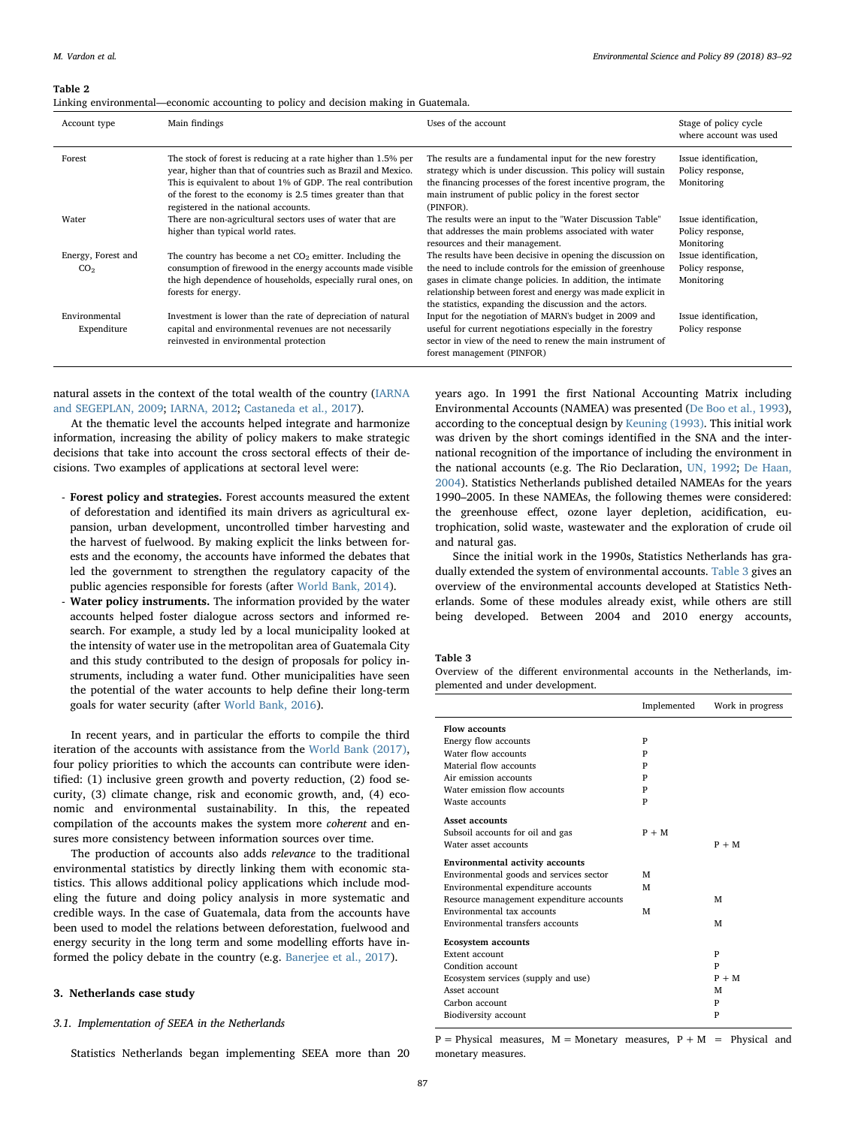#### <span id="page-4-0"></span>Table 2

Linking environmental—economic accounting to policy and decision making in Guatemala.

| Account type                          | Main findings                                                                                                                                                                                                                                                                                           | Uses of the account                                                                                                                                                                                                                                                                                                  | Stage of policy cycle<br>where account was used         |
|---------------------------------------|---------------------------------------------------------------------------------------------------------------------------------------------------------------------------------------------------------------------------------------------------------------------------------------------------------|----------------------------------------------------------------------------------------------------------------------------------------------------------------------------------------------------------------------------------------------------------------------------------------------------------------------|---------------------------------------------------------|
| Forest                                | The stock of forest is reducing at a rate higher than 1.5% per<br>year, higher than that of countries such as Brazil and Mexico.<br>This is equivalent to about 1% of GDP. The real contribution<br>of the forest to the economy is 2.5 times greater than that<br>registered in the national accounts. | The results are a fundamental input for the new forestry<br>strategy which is under discussion. This policy will sustain<br>the financing processes of the forest incentive program, the<br>main instrument of public policy in the forest sector<br>(PINFOR).                                                       | Issue identification,<br>Policy response,<br>Monitoring |
| Water                                 | There are non-agricultural sectors uses of water that are<br>higher than typical world rates.                                                                                                                                                                                                           | The results were an input to the "Water Discussion Table"<br>that addresses the main problems associated with water<br>resources and their management.                                                                                                                                                               | Issue identification,<br>Policy response,<br>Monitoring |
| Energy, Forest and<br>CO <sub>2</sub> | The country has become a net $CO2$ emitter. Including the<br>consumption of firewood in the energy accounts made visible<br>the high dependence of households, especially rural ones, on<br>forests for energy.                                                                                         | The results have been decisive in opening the discussion on<br>the need to include controls for the emission of greenhouse<br>gases in climate change policies. In addition, the intimate<br>relationship between forest and energy was made explicit in<br>the statistics, expanding the discussion and the actors. | Issue identification,<br>Policy response,<br>Monitoring |
| Environmental<br>Expenditure          | Investment is lower than the rate of depreciation of natural<br>capital and environmental revenues are not necessarily<br>reinvested in environmental protection                                                                                                                                        | Input for the negotiation of MARN's budget in 2009 and<br>useful for current negotiations especially in the forestry<br>sector in view of the need to renew the main instrument of<br>forest management (PINFOR)                                                                                                     | Issue identification,<br>Policy response                |

natural assets in the context of the total wealth of the country [\(IARNA](#page-8-28) [and SEGEPLAN, 2009](#page-8-28); [IARNA, 2012](#page-8-29); [Castaneda et al., 2017](#page-7-8)).

At the thematic level the accounts helped integrate and harmonize information, increasing the ability of policy makers to make strategic decisions that take into account the cross sectoral effects of their decisions. Two examples of applications at sectoral level were:

- Forest policy and strategies. Forest accounts measured the extent of deforestation and identified its main drivers as agricultural expansion, urban development, uncontrolled timber harvesting and the harvest of fuelwood. By making explicit the links between forests and the economy, the accounts have informed the debates that led the government to strengthen the regulatory capacity of the public agencies responsible for forests (after [World Bank, 2014](#page-9-5)).
- Water policy instruments. The information provided by the water accounts helped foster dialogue across sectors and informed research. For example, a study led by a local municipality looked at the intensity of water use in the metropolitan area of Guatemala City and this study contributed to the design of proposals for policy instruments, including a water fund. Other municipalities have seen the potential of the water accounts to help define their long-term goals for water security (after [World Bank, 2016\)](#page-9-6).

In recent years, and in particular the efforts to compile the third iteration of the accounts with assistance from the [World Bank \(2017\)](#page-9-7), four policy priorities to which the accounts can contribute were identified: (1) inclusive green growth and poverty reduction, (2) food security, (3) climate change, risk and economic growth, and, (4) economic and environmental sustainability. In this, the repeated compilation of the accounts makes the system more coherent and ensures more consistency between information sources over time.

The production of accounts also adds relevance to the traditional environmental statistics by directly linking them with economic statistics. This allows additional policy applications which include modeling the future and doing policy analysis in more systematic and credible ways. In the case of Guatemala, data from the accounts have been used to model the relations between deforestation, fuelwood and energy security in the long term and some modelling efforts have informed the policy debate in the country (e.g. [Banerjee et al., 2017](#page-7-9)).

#### 3. Netherlands case study

#### 3.1. Implementation of SEEA in the Netherlands

Statistics Netherlands began implementing SEEA more than 20

years ago. In 1991 the first National Accounting Matrix including Environmental Accounts (NAMEA) was presented ([De Boo et al., 1993](#page-7-10)), according to the conceptual design by [Keuning \(1993\).](#page-8-30) This initial work was driven by the short comings identified in the SNA and the international recognition of the importance of including the environment in the national accounts (e.g. The Rio Declaration, [UN, 1992;](#page-8-31) [De Haan,](#page-8-32) [2004\)](#page-8-32). Statistics Netherlands published detailed NAMEAs for the years 1990–2005. In these NAMEAs, the following themes were considered: the greenhouse effect, ozone layer depletion, acidification, eutrophication, solid waste, wastewater and the exploration of crude oil and natural gas.

Since the initial work in the 1990s, Statistics Netherlands has gradually extended the system of environmental accounts. [Table 3](#page-4-1) gives an overview of the environmental accounts developed at Statistics Netherlands. Some of these modules already exist, while others are still being developed. Between 2004 and 2010 energy accounts,

#### <span id="page-4-1"></span>Table 3

Overview of the different environmental accounts in the Netherlands, implemented and under development.

|                                          | Implemented | Work in progress |
|------------------------------------------|-------------|------------------|
| <b>Flow accounts</b>                     |             |                  |
| Energy flow accounts                     | P           |                  |
| Water flow accounts                      | P           |                  |
| Material flow accounts                   | P           |                  |
| Air emission accounts                    | P           |                  |
| Water emission flow accounts             | P           |                  |
| Waste accounts                           | P           |                  |
| Asset accounts                           |             |                  |
| Subsoil accounts for oil and gas         | $P + M$     |                  |
| Water asset accounts                     |             | $P + M$          |
| <b>Environmental activity accounts</b>   |             |                  |
| Environmental goods and services sector  | м           |                  |
| Environmental expenditure accounts       | м           |                  |
| Resource management expenditure accounts |             | M                |
| Environmental tax accounts               | м           |                  |
| Environmental transfers accounts         |             | M                |
| <b>Ecosystem accounts</b>                |             |                  |
| Extent account                           |             | P                |
| Condition account                        |             | P                |
| Ecosystem services (supply and use)      |             | $P + M$          |
| Asset account                            |             | м                |
| Carbon account                           |             | P                |
| Biodiversity account                     |             | P                |

 $P =$  Physical measures,  $M =$  Monetary measures,  $P + M =$  Physical and monetary measures.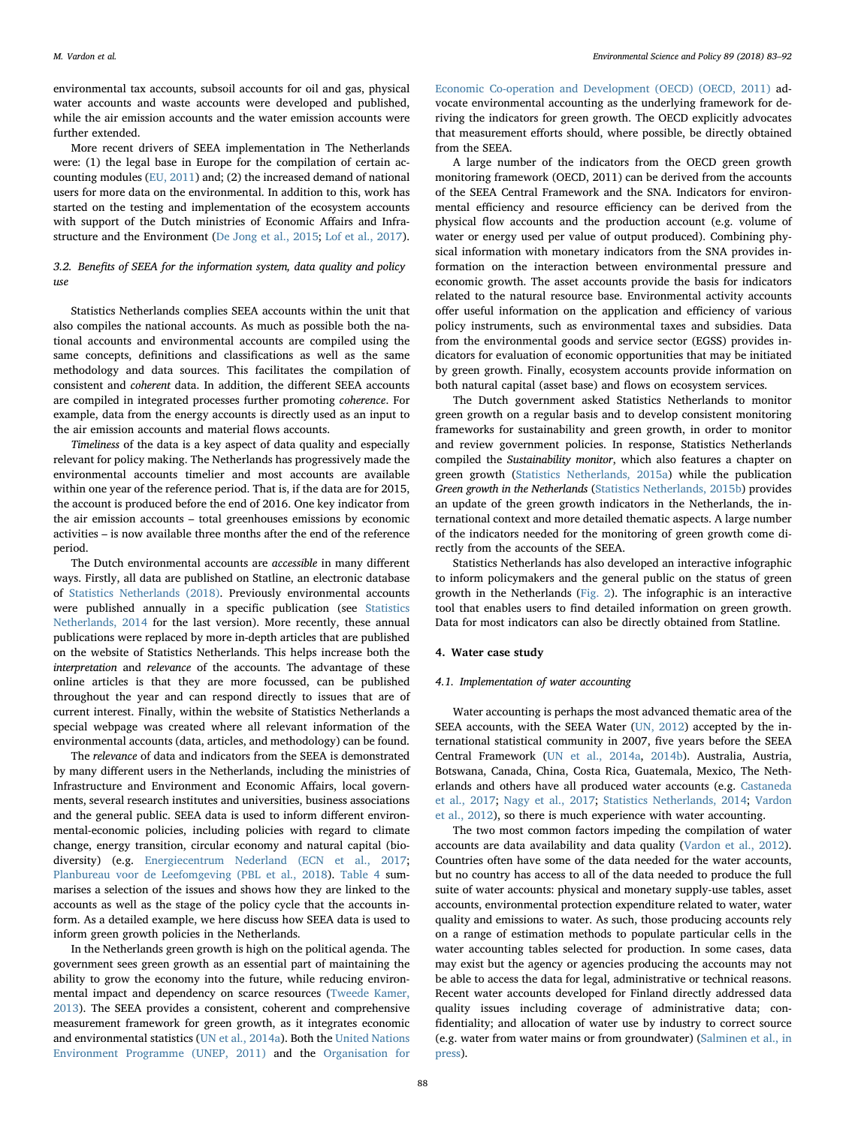environmental tax accounts, subsoil accounts for oil and gas, physical water accounts and waste accounts were developed and published, while the air emission accounts and the water emission accounts were further extended.

More recent drivers of SEEA implementation in The Netherlands were: (1) the legal base in Europe for the compilation of certain accounting modules [\(EU, 2011](#page-8-33)) and; (2) the increased demand of national users for more data on the environmental. In addition to this, work has started on the testing and implementation of the ecosystem accounts with support of the Dutch ministries of Economic Affairs and Infrastructure and the Environment [\(De Jong et al., 2015](#page-8-34); [Lof et al., 2017](#page-8-35)).

## 3.2. Benefits of SEEA for the information system, data quality and policy use

Statistics Netherlands complies SEEA accounts within the unit that also compiles the national accounts. As much as possible both the national accounts and environmental accounts are compiled using the same concepts, definitions and classifications as well as the same methodology and data sources. This facilitates the compilation of consistent and coherent data. In addition, the different SEEA accounts are compiled in integrated processes further promoting coherence. For example, data from the energy accounts is directly used as an input to the air emission accounts and material flows accounts.

Timeliness of the data is a key aspect of data quality and especially relevant for policy making. The Netherlands has progressively made the environmental accounts timelier and most accounts are available within one year of the reference period. That is, if the data are for 2015, the account is produced before the end of 2016. One key indicator from the air emission accounts – total greenhouses emissions by economic activities – is now available three months after the end of the reference period.

The Dutch environmental accounts are accessible in many different ways. Firstly, all data are published on Statline, an electronic database of [Statistics Netherlands \(2018\).](#page-8-36) Previously environmental accounts were published annually in a specific publication (see [Statistics](#page-8-37) [Netherlands, 2014](#page-8-37) for the last version). More recently, these annual publications were replaced by more in-depth articles that are published on the website of Statistics Netherlands. This helps increase both the interpretation and relevance of the accounts. The advantage of these online articles is that they are more focussed, can be published throughout the year and can respond directly to issues that are of current interest. Finally, within the website of Statistics Netherlands a special webpage was created where all relevant information of the environmental accounts (data, articles, and methodology) can be found.

The relevance of data and indicators from the SEEA is demonstrated by many different users in the Netherlands, including the ministries of Infrastructure and Environment and Economic Affairs, local governments, several research institutes and universities, business associations and the general public. SEEA data is used to inform different environmental-economic policies, including policies with regard to climate change, energy transition, circular economy and natural capital (biodiversity) (e.g. [Energiecentrum Nederland \(ECN et al., 2017](#page-8-38); [Planbureau voor de Leefomgeving \(PBL et al., 2018\)](#page-8-39). [Table](#page-6-0) 4 summarises a selection of the issues and shows how they are linked to the accounts as well as the stage of the policy cycle that the accounts inform. As a detailed example, we here discuss how SEEA data is used to inform green growth policies in the Netherlands.

In the Netherlands green growth is high on the political agenda. The government sees green growth as an essential part of maintaining the ability to grow the economy into the future, while reducing environmental impact and dependency on scarce resources ([Tweede Kamer,](#page-8-40) [2013\)](#page-8-40). The SEEA provides a consistent, coherent and comprehensive measurement framework for green growth, as it integrates economic and environmental statistics ([UN et al., 2014a\)](#page-8-12). Both the [United Nations](#page-8-41) [Environment Programme \(UNEP, 2011\)](#page-8-41) and the [Organisation for](#page-8-42)

[Economic Co-operation and Development \(OECD\) \(OECD, 2011\)](#page-8-42) advocate environmental accounting as the underlying framework for deriving the indicators for green growth. The OECD explicitly advocates that measurement efforts should, where possible, be directly obtained from the SEEA.

A large number of the indicators from the OECD green growth monitoring framework (OECD, 2011) can be derived from the accounts of the SEEA Central Framework and the SNA. Indicators for environmental efficiency and resource efficiency can be derived from the physical flow accounts and the production account (e.g. volume of water or energy used per value of output produced). Combining physical information with monetary indicators from the SNA provides information on the interaction between environmental pressure and economic growth. The asset accounts provide the basis for indicators related to the natural resource base. Environmental activity accounts offer useful information on the application and efficiency of various policy instruments, such as environmental taxes and subsidies. Data from the environmental goods and service sector (EGSS) provides indicators for evaluation of economic opportunities that may be initiated by green growth. Finally, ecosystem accounts provide information on both natural capital (asset base) and flows on ecosystem services.

The Dutch government asked Statistics Netherlands to monitor green growth on a regular basis and to develop consistent monitoring frameworks for sustainability and green growth, in order to monitor and review government policies. In response, Statistics Netherlands compiled the Sustainability monitor, which also features a chapter on green growth [\(Statistics Netherlands, 2015a](#page-8-43)) while the publication Green growth in the Netherlands [\(Statistics Netherlands, 2015b](#page-8-44)) provides an update of the green growth indicators in the Netherlands, the international context and more detailed thematic aspects. A large number of the indicators needed for the monitoring of green growth come directly from the accounts of the SEEA.

Statistics Netherlands has also developed an interactive infographic to inform policymakers and the general public on the status of green growth in the Netherlands ([Fig. 2](#page-6-1)). The infographic is an interactive tool that enables users to find detailed information on green growth. Data for most indicators can also be directly obtained from Statline.

## <span id="page-5-0"></span>4. Water case study

#### 4.1. Implementation of water accounting

Water accounting is perhaps the most advanced thematic area of the SEEA accounts, with the SEEA Water [\(UN, 2012\)](#page-8-15) accepted by the international statistical community in 2007, five years before the SEEA Central Framework [\(UN et al., 2014a](#page-8-12), [2014b\)](#page-8-13). Australia, Austria, Botswana, Canada, China, Costa Rica, Guatemala, Mexico, The Netherlands and others have all produced water accounts (e.g. [Castaneda](#page-7-8) [et al., 2017](#page-7-8); Nagy [et al., 2017](#page-8-45); [Statistics Netherlands, 2014](#page-8-37); [Vardon](#page-9-8) [et al., 2012](#page-9-8)), so there is much experience with water accounting.

The two most common factors impeding the compilation of water accounts are data availability and data quality ([Vardon et al., 2012](#page-9-8)). Countries often have some of the data needed for the water accounts, but no country has access to all of the data needed to produce the full suite of water accounts: physical and monetary supply-use tables, asset accounts, environmental protection expenditure related to water, water quality and emissions to water. As such, those producing accounts rely on a range of estimation methods to populate particular cells in the water accounting tables selected for production. In some cases, data may exist but the agency or agencies producing the accounts may not be able to access the data for legal, administrative or technical reasons. Recent water accounts developed for Finland directly addressed data quality issues including coverage of administrative data; confidentiality; and allocation of water use by industry to correct source (e.g. water from water mains or from groundwater) ([Salminen et al., in](#page-8-46) [press](#page-8-46)).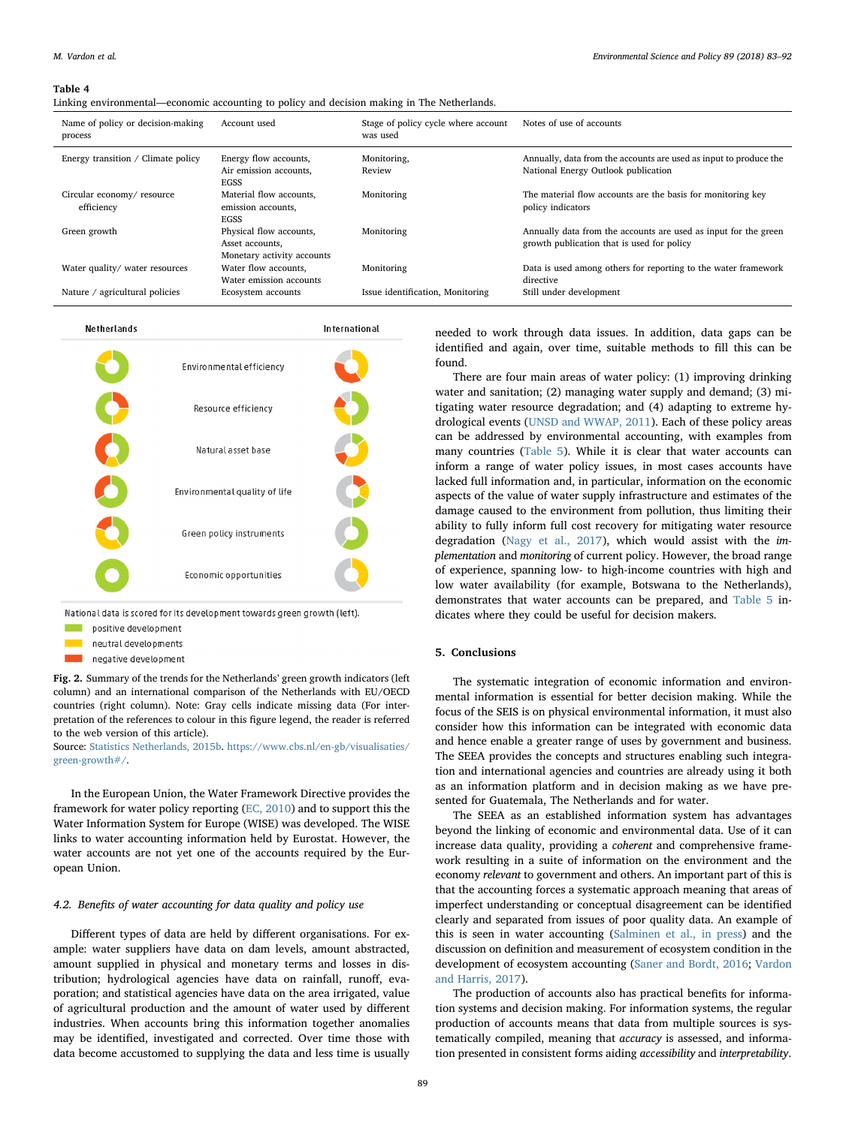#### <span id="page-6-0"></span>Table 4

Linking environmental—economic accounting to policy and decision making in The Netherlands.

| Name of policy or decision-making<br>process | Account used                                                             | Stage of policy cycle where account<br>was used | Notes of use of accounts                                                                                      |
|----------------------------------------------|--------------------------------------------------------------------------|-------------------------------------------------|---------------------------------------------------------------------------------------------------------------|
| Energy transition / Climate policy           | Energy flow accounts,<br>Air emission accounts,<br>EGSS                  | Monitoring,<br>Review                           | Annually, data from the accounts are used as input to produce the<br>National Energy Outlook publication      |
| Circular economy/resource<br>efficiency      | Material flow accounts.<br>emission accounts,<br>EGSS                    | Monitoring                                      | The material flow accounts are the basis for monitoring key<br>policy indicators                              |
| Green growth                                 | Physical flow accounts,<br>Asset accounts,<br>Monetary activity accounts | Monitoring                                      | Annually data from the accounts are used as input for the green<br>growth publication that is used for policy |
| Water quality/ water resources               | Water flow accounts,<br>Water emission accounts                          | Monitoring                                      | Data is used among others for reporting to the water framework<br>directive                                   |
| Nature / agricultural policies               | Ecosystem accounts                                                       | Issue identification, Monitoring                | Still under development                                                                                       |

<span id="page-6-1"></span>

National data is scored for its development towards green growth (left).

- positive development
- neutral developments
- negative development

Fig. 2. Summary of the trends for the Netherlands' green growth indicators (left column) and an international comparison of the Netherlands with EU/OECD countries (right column). Note: Gray cells indicate missing data (For interpretation of the references to colour in this figure legend, the reader is referred to the web version of this article).

Source: [Statistics Netherlands, 2015b.](#page-8-44) [https://www.cbs.nl/en-gb/visualisaties/](https://www.cbs.nl/en-gb/visualisaties/green-growth#/) [green-growth#/](https://www.cbs.nl/en-gb/visualisaties/green-growth#/).

In the European Union, the Water Framework Directive provides the framework for water policy reporting [\(EC, 2010\)](#page-8-47) and to support this the Water Information System for Europe (WISE) was developed. The WISE links to water accounting information held by Eurostat. However, the water accounts are not yet one of the accounts required by the European Union.

## 4.2. Benefits of water accounting for data quality and policy use

Different types of data are held by different organisations. For example: water suppliers have data on dam levels, amount abstracted, amount supplied in physical and monetary terms and losses in distribution; hydrological agencies have data on rainfall, runoff, evaporation; and statistical agencies have data on the area irrigated, value of agricultural production and the amount of water used by different industries. When accounts bring this information together anomalies may be identified, investigated and corrected. Over time those with data become accustomed to supplying the data and less time is usually

needed to work through data issues. In addition, data gaps can be identified and again, over time, suitable methods to fill this can be found.

There are four main areas of water policy: (1) improving drinking water and sanitation; (2) managing water supply and demand; (3) mitigating water resource degradation; and (4) adapting to extreme hydrological events [\(UNSD and WWAP, 2011\)](#page-9-9). Each of these policy areas can be addressed by environmental accounting, with examples from many countries [\(Table 5\)](#page-7-11). While it is clear that water accounts can inform a range of water policy issues, in most cases accounts have lacked full information and, in particular, information on the economic aspects of the value of water supply infrastructure and estimates of the damage caused to the environment from pollution, thus limiting their ability to fully inform full cost recovery for mitigating water resource degradation ([Nagy et al., 2017](#page-8-45)), which would assist with the implementation and monitoring of current policy. However, the broad range of experience, spanning low- to high-income countries with high and low water availability (for example, Botswana to the Netherlands), demonstrates that water accounts can be prepared, and [Table 5](#page-7-11) indicates where they could be useful for decision makers.

### 5. Conclusions

The systematic integration of economic information and environmental information is essential for better decision making. While the focus of the SEIS is on physical environmental information, it must also consider how this information can be integrated with economic data and hence enable a greater range of uses by government and business. The SEEA provides the concepts and structures enabling such integration and international agencies and countries are already using it both as an information platform and in decision making as we have presented for Guatemala, The Netherlands and for water.

The SEEA as an established information system has advantages beyond the linking of economic and environmental data. Use of it can increase data quality, providing a coherent and comprehensive framework resulting in a suite of information on the environment and the economy relevant to government and others. An important part of this is that the accounting forces a systematic approach meaning that areas of imperfect understanding or conceptual disagreement can be identified clearly and separated from issues of poor quality data. An example of this is seen in water accounting [\(Salminen et al., in press\)](#page-8-46) and the discussion on definition and measurement of ecosystem condition in the development of ecosystem accounting ([Saner and Bordt, 2016](#page-8-48); [Vardon](#page-9-10) [and Harris, 2017\)](#page-9-10).

The production of accounts also has practical benefits for information systems and decision making. For information systems, the regular production of accounts means that data from multiple sources is systematically compiled, meaning that accuracy is assessed, and information presented in consistent forms aiding accessibility and interpretability.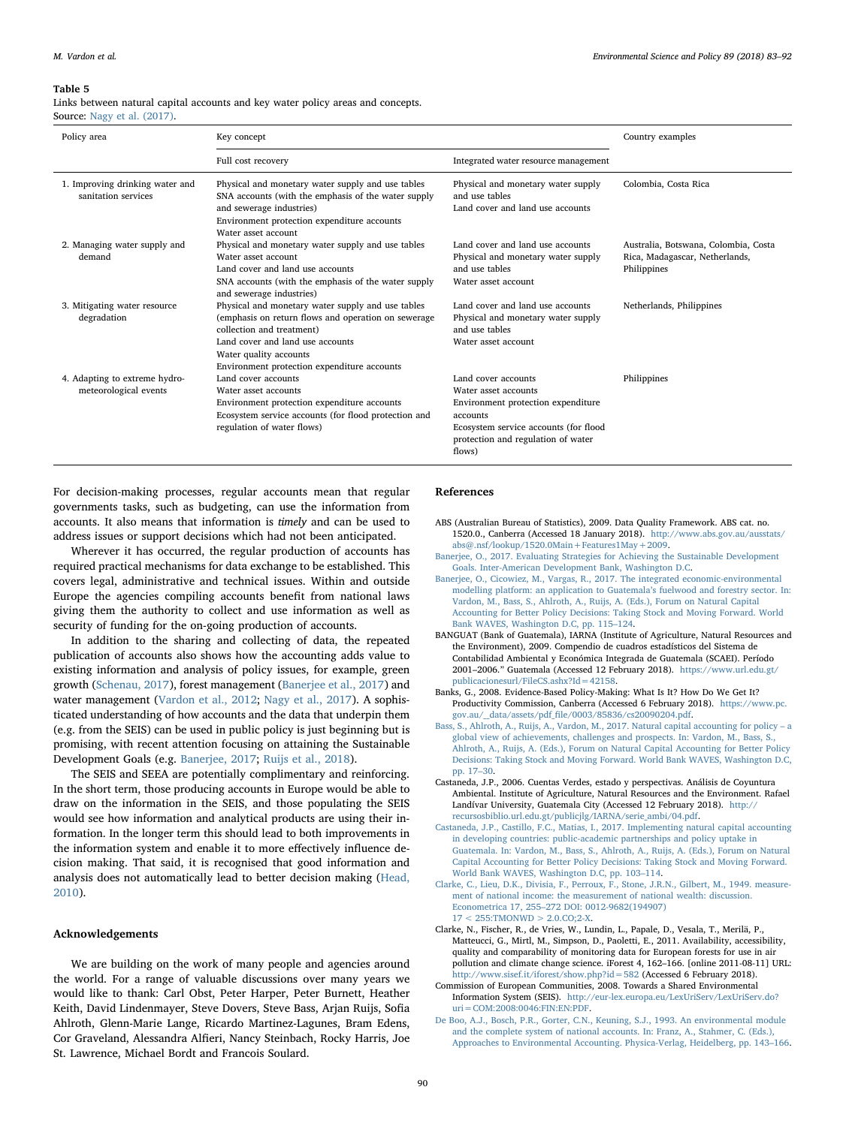#### <span id="page-7-11"></span>Table 5

Links between natural capital accounts and key water policy areas and concepts. Source: [Nagy et al. \(2017\)](#page-8-45).

| Policy area                                            | Key concept                                                                                                                                                                                                                                        | Country examples                                                                                                                                                                       |                                                                                       |
|--------------------------------------------------------|----------------------------------------------------------------------------------------------------------------------------------------------------------------------------------------------------------------------------------------------------|----------------------------------------------------------------------------------------------------------------------------------------------------------------------------------------|---------------------------------------------------------------------------------------|
|                                                        | Full cost recovery                                                                                                                                                                                                                                 | Integrated water resource management                                                                                                                                                   |                                                                                       |
| 1. Improving drinking water and<br>sanitation services | Physical and monetary water supply and use tables<br>SNA accounts (with the emphasis of the water supply<br>and sewerage industries)<br>Environment protection expenditure accounts<br>Water asset account                                         | Physical and monetary water supply<br>and use tables<br>Land cover and land use accounts                                                                                               | Colombia, Costa Rica                                                                  |
| 2. Managing water supply and<br>demand                 | Physical and monetary water supply and use tables<br>Water asset account<br>Land cover and land use accounts<br>SNA accounts (with the emphasis of the water supply<br>and sewerage industries)                                                    | Land cover and land use accounts<br>Physical and monetary water supply<br>and use tables<br>Water asset account                                                                        | Australia, Botswana, Colombia, Costa<br>Rica, Madagascar, Netherlands,<br>Philippines |
| 3. Mitigating water resource<br>degradation            | Physical and monetary water supply and use tables<br>(emphasis on return flows and operation on sewerage<br>collection and treatment)<br>Land cover and land use accounts<br>Water quality accounts<br>Environment protection expenditure accounts | Land cover and land use accounts<br>Physical and monetary water supply<br>and use tables<br>Water asset account                                                                        | Netherlands, Philippines                                                              |
| 4. Adapting to extreme hydro-<br>meteorological events | Land cover accounts<br>Water asset accounts<br>Environment protection expenditure accounts<br>Ecosystem service accounts (for flood protection and<br>regulation of water flows)                                                                   | Land cover accounts<br>Water asset accounts<br>Environment protection expenditure<br>accounts<br>Ecosystem service accounts (for flood<br>protection and regulation of water<br>flows) | Philippines                                                                           |

For decision-making processes, regular accounts mean that regular governments tasks, such as budgeting, can use the information from accounts. It also means that information is timely and can be used to address issues or support decisions which had not been anticipated.

Wherever it has occurred, the regular production of accounts has required practical mechanisms for data exchange to be established. This covers legal, administrative and technical issues. Within and outside Europe the agencies compiling accounts benefit from national laws giving them the authority to collect and use information as well as security of funding for the on-going production of accounts.

In addition to the sharing and collecting of data, the repeated publication of accounts also shows how the accounting adds value to existing information and analysis of policy issues, for example, green growth ([Schenau, 2017](#page-8-49)), forest management ([Banerjee et al., 2017\)](#page-7-9) and water management ([Vardon et al., 2012](#page-9-8); [Nagy et al., 2017\)](#page-8-45). A sophisticated understanding of how accounts and the data that underpin them (e.g. from the SEIS) can be used in public policy is just beginning but is promising, with recent attention focusing on attaining the Sustainable Development Goals (e.g. [Banerjee, 2017;](#page-7-12) [Ruijs et al., 2018\)](#page-8-26).

The SEIS and SEEA are potentially complimentary and reinforcing. In the short term, those producing accounts in Europe would be able to draw on the information in the SEIS, and those populating the SEIS would see how information and analytical products are using their information. In the longer term this should lead to both improvements in the information system and enable it to more effectively influence decision making. That said, it is recognised that good information and analysis does not automatically lead to better decision making [\(Head,](#page-8-0) [2010\)](#page-8-0).

## Acknowledgements

We are building on the work of many people and agencies around the world. For a range of valuable discussions over many years we would like to thank: Carl Obst, Peter Harper, Peter Burnett, Heather Keith, David Lindenmayer, Steve Dovers, Steve Bass, Arjan Ruijs, Sofia Ahlroth, Glenn-Marie Lange, Ricardo Martinez-Lagunes, Bram Edens, Cor Graveland, Alessandra Alfieri, Nancy Steinbach, Rocky Harris, Joe St. Lawrence, Michael Bordt and Francois Soulard.

#### References

- <span id="page-7-2"></span>ABS (Australian Bureau of Statistics), 2009. Data Quality Framework. ABS cat. no. 1520.0., Canberra (Accessed 18 January 2018). [http://www.abs.gov.au/ausstats/](http://www.abs.gov.au/ausstats/abs@.nsf/lookup/1520.0Main+eatures1May+,0,0,2) [abs@.nsf/lookup/1520.0Main+Features1May+2009](http://www.abs.gov.au/ausstats/abs@.nsf/lookup/1520.0Main+eatures1May+,0,0,2).
- <span id="page-7-12"></span>[Banerjee, O., 2017. Evaluating Strategies for Achieving the Sustainable Development](http://refhub.elsevier.com/S1462-9011(18)30160-6/sbref0010) [Goals. Inter-American Development Bank, Washington D.C](http://refhub.elsevier.com/S1462-9011(18)30160-6/sbref0010).
- <span id="page-7-9"></span>[Banerjee, O., Cicowiez, M., Vargas, R., 2017. The integrated economic-environmental](http://refhub.elsevier.com/S1462-9011(18)30160-6/sbref0015) [modelling platform: an application to Guatemala](http://refhub.elsevier.com/S1462-9011(18)30160-6/sbref0015)'s fuelwood and forestry sector. In: [Vardon, M., Bass, S., Ahlroth, A., Ruijs, A. \(Eds.\), Forum on Natural Capital](http://refhub.elsevier.com/S1462-9011(18)30160-6/sbref0015) [Accounting for Better Policy Decisions: Taking Stock and Moving Forward. World](http://refhub.elsevier.com/S1462-9011(18)30160-6/sbref0015) [Bank WAVES, Washington D.C, pp. 115](http://refhub.elsevier.com/S1462-9011(18)30160-6/sbref0015)–124.
- <span id="page-7-7"></span>BANGUAT (Bank of Guatemala), IARNA (Institute of Agriculture, Natural Resources and the Environment), 2009. Compendio de cuadros estadísticos del Sistema de Contabilidad Ambiental y Económica Integrada de Guatemala (SCAEI). Período 2001–2006." Guatemala (Accessed 12 February 2018). [https://www.url.edu.gt/](https://www.url.edu.gt/publicacionesurl/FileCS.ashx?Id=42158) [publicacionesurl/FileCS.ashx?Id=42158](https://www.url.edu.gt/publicacionesurl/FileCS.ashx?Id=42158).
- <span id="page-7-0"></span>Banks, G., 2008. Evidence-Based Policy-Making: What Is It? How Do We Get It? Productivity Commission, Canberra (Accessed 6 February 2018). [https://www.pc.](https://www.pc.gov.au/__data/assets/pdf_file/0003/85836/cs20090204.pdf) gov.au/\_\_data/assets/pdf\_fi[le/0003/85836/cs20090204.pdf.](https://www.pc.gov.au/__data/assets/pdf_file/0003/85836/cs20090204.pdf)
- <span id="page-7-5"></span>[Bass, S., Ahlroth, A., Ruijs, A., Vardon, M., 2017. Natural capital accounting for policy](http://refhub.elsevier.com/S1462-9011(18)30160-6/sbref0030) – a [global view of achievements, challenges and prospects. In: Vardon, M., Bass, S.,](http://refhub.elsevier.com/S1462-9011(18)30160-6/sbref0030) [Ahlroth, A., Ruijs, A. \(Eds.\), Forum on Natural Capital Accounting for Better Policy](http://refhub.elsevier.com/S1462-9011(18)30160-6/sbref0030) [Decisions: Taking Stock and Moving Forward. World Bank WAVES, Washington D.C,](http://refhub.elsevier.com/S1462-9011(18)30160-6/sbref0030) [pp. 17](http://refhub.elsevier.com/S1462-9011(18)30160-6/sbref0030)–30.
- <span id="page-7-6"></span>Castaneda, J.P., 2006. Cuentas Verdes, estado y perspectivas. Análisis de Coyuntura Ambiental. Institute of Agriculture, Natural Resources and the Environment. Rafael Landívar University, Guatemala City (Accessed 12 February 2018). [http://](http://recursosbiblio.url.edu.gt/publicjlg/IARNA/serie_ambi/04.pdf) [recursosbiblio.url.edu.gt/publicjlg/IARNA/serie\\_ambi/04.pdf.](http://recursosbiblio.url.edu.gt/publicjlg/IARNA/serie_ambi/04.pdf)
- <span id="page-7-8"></span>[Castaneda, J.P., Castillo, F.C., Matias, I., 2017. Implementing natural capital accounting](http://refhub.elsevier.com/S1462-9011(18)30160-6/sbref0040) [in developing countries: public-academic partnerships and policy uptake in](http://refhub.elsevier.com/S1462-9011(18)30160-6/sbref0040) [Guatemala. In: Vardon, M., Bass, S., Ahlroth, A., Ruijs, A. \(Eds.\), Forum on Natural](http://refhub.elsevier.com/S1462-9011(18)30160-6/sbref0040) [Capital Accounting for Better Policy Decisions: Taking Stock and Moving Forward.](http://refhub.elsevier.com/S1462-9011(18)30160-6/sbref0040) [World Bank WAVES, Washington D.C, pp. 103](http://refhub.elsevier.com/S1462-9011(18)30160-6/sbref0040)–114.
- <span id="page-7-1"></span>[Clarke, C., Lieu, D.K., Divisia, F., Perroux, F., Stone, J.R.N., Gilbert, M., 1949. measure](http://refhub.elsevier.com/S1462-9011(18)30160-6/sbref0045)[ment of national income: the measurement of national wealth: discussion.](http://refhub.elsevier.com/S1462-9011(18)30160-6/sbref0045) Econometrica 17, 255–[272 DOI: 0012-9682\(194907\)](http://refhub.elsevier.com/S1462-9011(18)30160-6/sbref0045) [17 < 255:TMONWD > 2.0.CO;2-X.](http://refhub.elsevier.com/S1462-9011(18)30160-6/sbref0045)
- <span id="page-7-3"></span>Clarke, N., Fischer, R., de Vries, W., Lundin, L., Papale, D., Vesala, T., Merilä, P., Matteucci, G., Mirtl, M., Simpson, D., Paoletti, E., 2011. Availability, accessibility, quality and comparability of monitoring data for European forests for use in air pollution and climate change science. iForest 4, 162–166. [online 2011-08-11] URL: <http://www.sisef.it/iforest/show.php?id=582> (Accessed 6 February 2018).
- <span id="page-7-4"></span>Commission of European Communities, 2008. Towards a Shared Environmental Information System (SEIS). [http://eur-lex.europa.eu/LexUriServ/LexUriServ.do?](http://eur-lex.europa.eu/LexUriServ/LexUriServ.do?uri=COM:2008:0046:FIN:EN:PDF) [uri=COM:2008:0046:FIN:EN:PDF.](http://eur-lex.europa.eu/LexUriServ/LexUriServ.do?uri=COM:2008:0046:FIN:EN:PDF)
- <span id="page-7-10"></span>[De Boo, A.J., Bosch, P.R., Gorter, C.N., Keuning, S.J., 1993. An environmental module](http://refhub.elsevier.com/S1462-9011(18)30160-6/sbref0060) [and the complete system of national accounts. In: Franz, A., Stahmer, C. \(Eds.\),](http://refhub.elsevier.com/S1462-9011(18)30160-6/sbref0060) [Approaches to Environmental Accounting. Physica-Verlag, Heidelberg, pp. 143](http://refhub.elsevier.com/S1462-9011(18)30160-6/sbref0060)–166.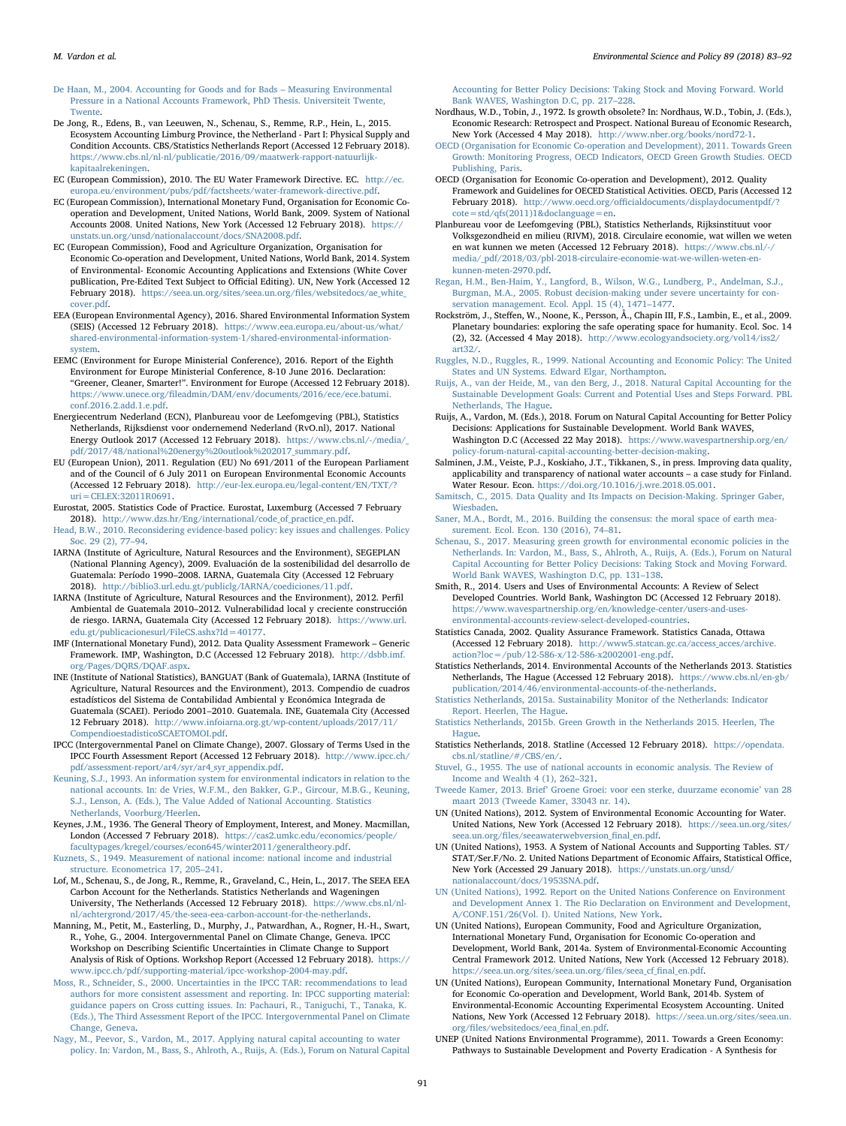- <span id="page-8-32"></span>[De Haan, M., 2004. Accounting for Goods and for Bads](http://refhub.elsevier.com/S1462-9011(18)30160-6/sbref0065) – Measuring Environmental [Pressure in a National Accounts Framework, PhD Thesis. Universiteit Twente,](http://refhub.elsevier.com/S1462-9011(18)30160-6/sbref0065) **[Twente](http://refhub.elsevier.com/S1462-9011(18)30160-6/sbref0065)**
- <span id="page-8-34"></span>De Jong, R., Edens, B., van Leeuwen, N., Schenau, S., Remme, R.P., Hein, L., 2015. Ecosystem Accounting Limburg Province, the Netherland - Part I: Physical Supply and Condition Accounts. CBS/Statistics Netherlands Report (Accessed 12 February 2018). [https://www.cbs.nl/nl-nl/publicatie/2016/09/maatwerk-rapport-natuurlijk](https://www.cbs.nl/nl-nl/publicatie/2016/09/maatwerk-rapport-natuurlijk-kapitaalrekeningen)[kapitaalrekeningen.](https://www.cbs.nl/nl-nl/publicatie/2016/09/maatwerk-rapport-natuurlijk-kapitaalrekeningen)
- <span id="page-8-47"></span>EC (European Commission), 2010. The EU Water Framework Directive. EC. [http://ec.](http://ec.europa.eu/environment/pubs/pdf/factsheets/water-framework-directive.pdf) [europa.eu/environment/pubs/pdf/factsheets/water-framework-directive.pdf.](http://ec.europa.eu/environment/pubs/pdf/factsheets/water-framework-directive.pdf)
- <span id="page-8-7"></span>EC (European Commission), International Monetary Fund, Organisation for Economic Cooperation and Development, United Nations, World Bank, 2009. System of National Accounts 2008. United Nations, New York (Accessed 12 February 2018). [https://](https://unstats.un.org/unsd/nationalaccount/docs/SNA2008.pdf) [unstats.un.org/unsd/nationalaccount/docs/SNA2008.pdf.](https://unstats.un.org/unsd/nationalaccount/docs/SNA2008.pdf)
- <span id="page-8-14"></span>EC (European Commission), Food and Agriculture Organization, Organisation for Economic Co-operation and Development, United Nations, World Bank, 2014. System of Environmental- Economic Accounting Applications and Extensions (White Cover puBlication, Pre-Edited Text Subject to Official Editing). UN, New York (Accessed 12 February 2018). [https://seea.un.org/sites/seea.un.org/](https://seea.un.org/sites/seea.un.org/files/websitedocs/ae_white_cover.pdf)files/websitedocs/ae\_white\_ [cover.pdf](https://seea.un.org/sites/seea.un.org/files/websitedocs/ae_white_cover.pdf).
- <span id="page-8-25"></span>EEA (European Environmental Agency), 2016. Shared Environmental Information System (SEIS) (Accessed 12 February 2018). [https://www.eea.europa.eu/about-us/what/](https://www.eea.europa.eu/about-us/what/shared-environmental-information-system-1/shared-environmental-information-system) [shared-environmental-information-system-1/shared-environmental-information](https://www.eea.europa.eu/about-us/what/shared-environmental-information-system-1/shared-environmental-information-system)[system.](https://www.eea.europa.eu/about-us/what/shared-environmental-information-system-1/shared-environmental-information-system)
- <span id="page-8-24"></span>EEMC (Environment for Europe Ministerial Conference), 2016. Report of the Eighth Environment for Europe Ministerial Conference, 8-10 June 2016. Declaration: "Greener, Cleaner, Smarter!". Environment for Europe (Accessed 12 February 2018). https://www.unece.org/fi[leadmin/DAM/env/documents/2016/ece/ece.batumi.](https://www.unece.org/fileadmin/DAM/env/documents/2016/ece/ece.batumi.conf.2016.2.add.1.e.pdf) [conf.2016.2.add.1.e.pdf.](https://www.unece.org/fileadmin/DAM/env/documents/2016/ece/ece.batumi.conf.2016.2.add.1.e.pdf)
- <span id="page-8-38"></span>Energiecentrum Nederland (ECN), Planbureau voor de Leefomgeving (PBL), Statistics Netherlands, Rijksdienst voor ondernemend Nederland (RvO.nl), 2017. National Energy Outlook 2017 (Accessed 12 February 2018). [https://www.cbs.nl/-/media/\\_](https://www.cbs.nl/-/media/_pdf/2017/48/national%20energy%20outlook%202017_summary.pdf) [pdf/2017/48/national%20energy%20outlook%202017\\_summary.pdf](https://www.cbs.nl/-/media/_pdf/2017/48/national%20energy%20outlook%202017_summary.pdf).
- <span id="page-8-33"></span>EU (European Union), 2011. Regulation (EU) No 691/2011 of the European Parliament and of the Council of 6 July 2011 on European Environmental Economic Accounts (Accessed 12 February 2018). [http://eur-lex.europa.eu/legal-content/EN/TXT/?](http://eur-lex.europa.eu/legal-content/EN/TXT/?uri=CELEX:32011R0691) [uri=CELEX:32011R0691](http://eur-lex.europa.eu/legal-content/EN/TXT/?uri=CELEX:32011R0691).
- <span id="page-8-20"></span>Eurostat, 2005. Statistics Code of Practice. Eurostat, Luxemburg (Accessed 7 February 2018). [http://www.dzs.hr/Eng/international/code\\_of\\_practice\\_en.pdf.](http://www.dzs.hr/Eng/international/code_of_practice_en.pdf)
- <span id="page-8-0"></span>[Head, B.W., 2010. Reconsidering evidence-based policy: key issues and challenges. Policy](http://refhub.elsevier.com/S1462-9011(18)30160-6/sbref0115) [Soc. 29 \(2\), 77](http://refhub.elsevier.com/S1462-9011(18)30160-6/sbref0115)–94.
- <span id="page-8-28"></span>IARNA (Institute of Agriculture, Natural Resources and the Environment), SEGEPLAN (National Planning Agency), 2009. Evaluación de la sostenibilidad del desarrollo de Guatemala: Período 1990–2008. IARNA, Guatemala City (Accessed 12 February 2018). [http://biblio3.url.edu.gt/publiclg/IARNA/coediciones/11.pdf.](http://biblio3.url.edu.gt/publiclg/IARNA/coediciones/11.pdf)
- <span id="page-8-29"></span>IARNA (Institute of Agriculture, Natural Resources and the Environment), 2012. Perfil Ambiental de Guatemala 2010–2012. Vulnerabilidad local y creciente construcción de riesgo. IARNA, Guatemala City (Accessed 12 February 2018). [https://www.url.](https://www.url.edu.gt/publicacionesurl/FileCS.ashx?Id=40177) [edu.gt/publicacionesurl/FileCS.ashx?Id=40177](https://www.url.edu.gt/publicacionesurl/FileCS.ashx?Id=40177).
- <span id="page-8-21"></span>IMF (International Monetary Fund), 2012. Data Quality Assessment Framework – Generic Framework. IMP, Washington, D.C (Accessed 12 February 2018). [http://dsbb.imf.](http://dsbb.imf.org/Pages/DQRS/DQAF.aspx) [org/Pages/DQRS/DQAF.aspx](http://dsbb.imf.org/Pages/DQRS/DQAF.aspx).
- <span id="page-8-27"></span>INE (Institute of National Statistics), BANGUAT (Bank of Guatemala), IARNA (Institute of Agriculture, Natural Resources and the Environment), 2013. Compendio de cuadros estadísticos del Sistema de Contabilidad Ambiental y Económica Integrada de Guatemala (SCAEI). Periodo 2001–2010. Guatemala. INE, Guatemala City (Accessed 12 February 2018). [http://www.infoiarna.org.gt/wp-content/uploads/2017/11/](http://www.infoiarna.org.gt/wp-content/uploads/2017/11/CompendioestadisticoSCAETOMOI.pdf) [CompendioestadisticoSCAETOMOI.pdf.](http://www.infoiarna.org.gt/wp-content/uploads/2017/11/CompendioestadisticoSCAETOMOI.pdf)
- <span id="page-8-19"></span>IPCC (Intergovernmental Panel on Climate Change), 2007. Glossary of Terms Used in the IPCC Fourth Assessment Report (Accessed 12 February 2018). [http://www.ipcc.ch/](http://www.ipcc.ch/pdf/assessment-report/ar4/syr/ar4_syr_appendix.pdf) [pdf/assessment-report/ar4/syr/ar4\\_syr\\_appendix.pdf](http://www.ipcc.ch/pdf/assessment-report/ar4/syr/ar4_syr_appendix.pdf).
- <span id="page-8-30"></span>[Keuning, S.J., 1993. An information system for environmental indicators in relation to the](http://refhub.elsevier.com/S1462-9011(18)30160-6/sbref0145) [national accounts. In: de Vries, W.F.M., den Bakker, G.P., Gircour, M.B.G., Keuning,](http://refhub.elsevier.com/S1462-9011(18)30160-6/sbref0145) [S.J., Lenson, A. \(Eds.\), The Value Added of National Accounting. Statistics](http://refhub.elsevier.com/S1462-9011(18)30160-6/sbref0145) [Netherlands, Voorburg/Heerlen](http://refhub.elsevier.com/S1462-9011(18)30160-6/sbref0145).
- <span id="page-8-4"></span>Keynes, J.M., 1936. The General Theory of Employment, Interest, and Money. Macmillan, London (Accessed 7 February 2018). [https://cas2.umkc.edu/economics/people/](https://cas2.umkc.edu/economics/people/facultypages/kregel/courses/econ645/winter2011/generaltheory.pdf) [facultypages/kregel/courses/econ645/winter2011/generaltheory.pdf](https://cas2.umkc.edu/economics/people/facultypages/kregel/courses/econ645/winter2011/generaltheory.pdf).
- <span id="page-8-5"></span>[Kuznets, S., 1949. Measurement of national income: national income and industrial](http://refhub.elsevier.com/S1462-9011(18)30160-6/sbref0155) [structure. Econometrica 17, 205](http://refhub.elsevier.com/S1462-9011(18)30160-6/sbref0155)–241.
- <span id="page-8-35"></span>Lof, M., Schenau, S., de Jong, R., Remme, R., Graveland, C., Hein, L., 2017. The SEEA EEA Carbon Account for the Netherlands. Statistics Netherlands and Wageningen University, The Netherlands (Accessed 12 February 2018). [https://www.cbs.nl/nl](https://www.cbs.nl/nl-nl/achtergrond/2017/45/the-seea-eea-carbon-account-for-the-netherlands)[nl/achtergrond/2017/45/the-seea-eea-carbon-account-for-the-netherlands](https://www.cbs.nl/nl-nl/achtergrond/2017/45/the-seea-eea-carbon-account-for-the-netherlands).
- <span id="page-8-1"></span>Manning, M., Petit, M., Easterling, D., Murphy, J., Patwardhan, A., Rogner, H.-H., Swart, R., Yohe, G., 2004. Intergovernmental Panel on Climate Change, Geneva. IPCC Workshop on Describing Scientific Uncertainties in Climate Change to Support Analysis of Risk of Options. Workshop Report (Accessed 12 February 2018). [https://](https://www.ipcc.ch/pdf/supporting-material/ipcc-workshop-2004-may.pdf) [www.ipcc.ch/pdf/supporting-material/ipcc-workshop-2004-may.pdf](https://www.ipcc.ch/pdf/supporting-material/ipcc-workshop-2004-may.pdf).
- <span id="page-8-18"></span>[Moss, R., Schneider, S., 2000. Uncertainties in the IPCC TAR: recommendations to lead](http://refhub.elsevier.com/S1462-9011(18)30160-6/sbref0170) [authors for more consistent assessment and reporting. In: IPCC supporting material:](http://refhub.elsevier.com/S1462-9011(18)30160-6/sbref0170) [guidance papers on Cross cutting issues. In: Pachauri, R., Taniguchi, T., Tanaka, K.](http://refhub.elsevier.com/S1462-9011(18)30160-6/sbref0170) [\(Eds.\), The Third Assessment Report of the IPCC. Intergovernmental Panel on Climate](http://refhub.elsevier.com/S1462-9011(18)30160-6/sbref0170) [Change, Geneva](http://refhub.elsevier.com/S1462-9011(18)30160-6/sbref0170).
- <span id="page-8-45"></span>[Nagy, M., Peevor, S., Vardon, M., 2017. Applying natural capital accounting to water](http://refhub.elsevier.com/S1462-9011(18)30160-6/sbref0175) [policy. In: Vardon, M., Bass, S., Ahlroth, A., Ruijs, A. \(Eds.\), Forum on Natural Capital](http://refhub.elsevier.com/S1462-9011(18)30160-6/sbref0175)

[Accounting for Better Policy Decisions: Taking Stock and Moving Forward. World](http://refhub.elsevier.com/S1462-9011(18)30160-6/sbref0175) [Bank WAVES, Washington D.C, pp. 217](http://refhub.elsevier.com/S1462-9011(18)30160-6/sbref0175)–228.

- <span id="page-8-10"></span>Nordhaus, W.D., Tobin, J., 1972. Is growth obsolete? In: Nordhaus, W.D., Tobin, J. (Eds.), Economic Research: Retrospect and Prospect. National Bureau of Economic Research, New York (Accessed 4 May 2018). <http://www.nber.org/books/nord72-1>.
- <span id="page-8-42"></span>[OECD \(Organisation for Economic Co-operation and Development\), 2011. Towards Green](http://refhub.elsevier.com/S1462-9011(18)30160-6/sbref0185) [Growth: Monitoring Progress, OECD Indicators, OECD Green Growth Studies. OECD](http://refhub.elsevier.com/S1462-9011(18)30160-6/sbref0185) [Publishing, Paris](http://refhub.elsevier.com/S1462-9011(18)30160-6/sbref0185).
- <span id="page-8-22"></span>OECD (Organisation for Economic Co-operation and Development), 2012. Quality Framework and Guidelines for OECED Statistical Activities. OECD, Paris (Accessed 12 February 2018). http://www.oecd.org/offi[cialdocuments/displaydocumentpdf/?](http://www.oecd.org/officialdocuments/displaydocumentpdf/?cote=std/qfs(2011)1%26doclanguage=en)  $\cote= std/qfs(2011)1\&\ndoclanguage=en.$
- <span id="page-8-39"></span>Planbureau voor de Leefomgeving (PBL), Statistics Netherlands, Rijksinstituut voor Volksgezondheid en milieu (RIVM), 2018. Circulaire economie, wat willen we weten en wat kunnen we meten (Accessed 12 February 2018). [https://www.cbs.nl/-/](https://www.cbs.nl/-/media/_pdf/2018/03/pbl-2018-circulaire-economie-wat-we-willen-weten-en-kunnen-meten-2970.pdf) [media/\\_pdf/2018/03/pbl-2018-circulaire-economie-wat-we-willen-weten-en](https://www.cbs.nl/-/media/_pdf/2018/03/pbl-2018-circulaire-economie-wat-we-willen-weten-en-kunnen-meten-2970.pdf)[kunnen-meten-2970.pdf](https://www.cbs.nl/-/media/_pdf/2018/03/pbl-2018-circulaire-economie-wat-we-willen-weten-en-kunnen-meten-2970.pdf).
- <span id="page-8-2"></span>[Regan, H.M., Ben-Haim, Y., Langford, B., Wilson, W.G., Lundberg, P., Andelman, S.J.,](http://refhub.elsevier.com/S1462-9011(18)30160-6/sbref0200) [Burgman, M.A., 2005. Robust decision-making under severe uncertainty for con](http://refhub.elsevier.com/S1462-9011(18)30160-6/sbref0200)[servation management. Ecol. Appl. 15 \(4\), 1471](http://refhub.elsevier.com/S1462-9011(18)30160-6/sbref0200)–1477.
- <span id="page-8-11"></span>Rockström, J., Steffen, W., Noone, K., Persson, Å., Chapin III, F.S., Lambin, E., et al., 2009. Planetary boundaries: exploring the safe operating space for humanity. Ecol. Soc. 14 (2), 32. (Accessed 4 May 2018). [http://www.ecologyandsociety.org/vol14/iss2/](http://www.ecologyandsociety.org/vol14/iss2/art32/) [art32/.](http://www.ecologyandsociety.org/vol14/iss2/art32/)
- <span id="page-8-9"></span>[Ruggles, N.D., Ruggles, R., 1999. National Accounting and Economic Policy: The United](http://refhub.elsevier.com/S1462-9011(18)30160-6/sbref0210) [States and UN Systems. Edward Elgar, Northampton.](http://refhub.elsevier.com/S1462-9011(18)30160-6/sbref0210)
- <span id="page-8-26"></span>[Ruijs, A., van der Heide, M., van den Berg, J., 2018. Natural Capital Accounting for the](http://refhub.elsevier.com/S1462-9011(18)30160-6/sbref0215) [Sustainable Development Goals: Current and Potential Uses and Steps Forward. PBL](http://refhub.elsevier.com/S1462-9011(18)30160-6/sbref0215) [Netherlands, The Hague](http://refhub.elsevier.com/S1462-9011(18)30160-6/sbref0215).
- <span id="page-8-17"></span>Ruijs, A., Vardon, M. (Eds.), 2018. Forum on Natural Capital Accounting for Better Policy Decisions: Applications for Sustainable Development. World Bank WAVES, Washington D.C (Accessed 22 May 2018). [https://www.wavespartnership.org/en/](https://www.wavespartnership.org/en/policy-forum-natural-capital-accounting-better-decision-making) [policy-forum-natural-capital-accounting-better-decision-making](https://www.wavespartnership.org/en/policy-forum-natural-capital-accounting-better-decision-making).
- <span id="page-8-46"></span>Salminen, J.M., Veiste, P.J., Koskiaho, J.T., Tikkanen, S., in press. Improving data quality, applicability and transparency of national water accounts – a case study for Finland. Water Resour. Econ. <https://doi.org/10.1016/j.wre.2018.05.001>.
- <span id="page-8-3"></span>[Samitsch, C., 2015. Data Quality and Its Impacts on Decision-Making. Springer Gaber,](http://refhub.elsevier.com/S1462-9011(18)30160-6/sbref0230) [Wiesbaden](http://refhub.elsevier.com/S1462-9011(18)30160-6/sbref0230).
- <span id="page-8-48"></span>[Saner, M.A., Bordt, M., 2016. Building the consensus: the moral space of earth mea](http://refhub.elsevier.com/S1462-9011(18)30160-6/sbref0235)[surement. Ecol. Econ. 130 \(2016\), 74](http://refhub.elsevier.com/S1462-9011(18)30160-6/sbref0235)–81.
- <span id="page-8-49"></span>[Schenau, S., 2017. Measuring green growth for environmental economic policies in the](http://refhub.elsevier.com/S1462-9011(18)30160-6/sbref0240) [Netherlands. In: Vardon, M., Bass, S., Ahlroth, A., Ruijs, A. \(Eds.\), Forum on Natural](http://refhub.elsevier.com/S1462-9011(18)30160-6/sbref0240) [Capital Accounting for Better Policy Decisions: Taking Stock and Moving Forward.](http://refhub.elsevier.com/S1462-9011(18)30160-6/sbref0240) [World Bank WAVES, Washington D.C, pp. 131](http://refhub.elsevier.com/S1462-9011(18)30160-6/sbref0240)–138.
- <span id="page-8-16"></span>Smith, R., 2014. Users and Uses of Environmental Accounts: A Review of Select Developed Countries. World Bank, Washington DC (Accessed 12 February 2018). [https://www.wavespartnership.org/en/knowledge-center/users-and-uses](https://www.wavespartnership.org/en/knowledge-center/users-and-uses-environmental-accounts-review-select-developed-countries)[environmental-accounts-review-select-developed-countries](https://www.wavespartnership.org/en/knowledge-center/users-and-uses-environmental-accounts-review-select-developed-countries).
- <span id="page-8-23"></span>Statistics Canada, 2002. Quality Assurance Framework. Statistics Canada, Ottawa (Accessed 12 February 2018). [http://www5.statcan.gc.ca/access\\_acces/archive.](http://www5.statcan.gc.ca/access_acces/archive.action?loc=/pub/12-586-x/12-586-x2002001-eng.pdf) [action?loc=/pub/12-586-x/12-586-x2002001-eng.pdf.](http://www5.statcan.gc.ca/access_acces/archive.action?loc=/pub/12-586-x/12-586-x2002001-eng.pdf)
- <span id="page-8-37"></span>Statistics Netherlands, 2014. Environmental Accounts of the Netherlands 2013. Statistics Netherlands, The Hague (Accessed 12 February 2018). [https://www.cbs.nl/en-gb/](https://www.cbs.nl/en-gb/publication/2014/46/environmental-accounts-of-the-netherlands) [publication/2014/46/environmental-accounts-of-the-netherlands.](https://www.cbs.nl/en-gb/publication/2014/46/environmental-accounts-of-the-netherlands)
- <span id="page-8-43"></span>[Statistics Netherlands, 2015a. Sustainability Monitor of the Netherlands: Indicator](http://refhub.elsevier.com/S1462-9011(18)30160-6/sbref0260) [Report. Heerlen, The Hague](http://refhub.elsevier.com/S1462-9011(18)30160-6/sbref0260).
- <span id="page-8-44"></span>[Statistics Netherlands, 2015b. Green Growth in the Netherlands 2015. Heerlen, The](http://refhub.elsevier.com/S1462-9011(18)30160-6/sbref0265) [Hague.](http://refhub.elsevier.com/S1462-9011(18)30160-6/sbref0265)
- <span id="page-8-36"></span>Statistics Netherlands, 2018. Statline (Accessed 12 February 2018). [https://opendata.](https://opendata.cbs.nl/statline/#/CBS/en/) [cbs.nl/statline/#/CBS/en/.](https://opendata.cbs.nl/statline/#/CBS/en/)
- <span id="page-8-8"></span>[Stuvel, G., 1955. The use of national accounts in economic analysis. The Review of](http://refhub.elsevier.com/S1462-9011(18)30160-6/sbref0275) [Income and Wealth 4 \(1\), 262](http://refhub.elsevier.com/S1462-9011(18)30160-6/sbref0275)–321.
- <span id="page-8-40"></span>Tweede Kamer, 2013. Brief' [Groene Groei: voor een sterke, duurzame economie](http://refhub.elsevier.com/S1462-9011(18)30160-6/sbref0280)' van 28 [maart 2013 \(Tweede Kamer, 33043 nr. 14\).](http://refhub.elsevier.com/S1462-9011(18)30160-6/sbref0280)
- <span id="page-8-15"></span>UN (United Nations), 2012. System of Environmental Economic Accounting for Water. United Nations, New York (Accessed 12 February 2018). [https://seea.un.org/sites/](https://seea.un.org/sites/seea.un.org/files/seeawaterwebversion_final_en.pdf) seea.un.org/fi[les/seeawaterwebversion\\_](https://seea.un.org/sites/seea.un.org/files/seeawaterwebversion_final_en.pdf)final\_en.pdf.
- <span id="page-8-6"></span>UN (United Nations), 1953. A System of National Accounts and Supporting Tables. ST/ STAT/Ser.F/No. 2. United Nations Department of Economic Affairs, Statistical Office, New York (Accessed 29 January 2018). [https://unstats.un.org/unsd/](https://unstats.un.org/unsd/nationalaccount/docs/1953SNA.pdf) [nationalaccount/docs/1953SNA.pdf](https://unstats.un.org/unsd/nationalaccount/docs/1953SNA.pdf).
- <span id="page-8-31"></span>[UN \(United Nations\), 1992. Report on the United Nations Conference on Environment](http://refhub.elsevier.com/S1462-9011(18)30160-6/sbref0295) [and Development Annex 1. The Rio Declaration on Environment and Development,](http://refhub.elsevier.com/S1462-9011(18)30160-6/sbref0295) [A/CONF.151/26\(Vol. I\). United Nations, New York.](http://refhub.elsevier.com/S1462-9011(18)30160-6/sbref0295)
- <span id="page-8-12"></span>UN (United Nations), European Community, Food and Agriculture Organization, International Monetary Fund, Organisation for Economic Co-operation and Development, World Bank, 2014a. System of Environmental-Economic Accounting Central Framework 2012. United Nations, New York (Accessed 12 February 2018). [https://seea.un.org/sites/seea.un.org/](https://seea.un.org/sites/seea.un.org/files/seea_cf_final_en.pdf)files/seea\_cf\_final\_en.pdf.
- <span id="page-8-13"></span>UN (United Nations), European Community, International Monetary Fund, Organisation for Economic Co-operation and Development, World Bank, 2014b. System of Environmental-Economic Accounting Experimental Ecosystem Accounting. United Nations, New York (Accessed 12 February 2018). [https://seea.un.org/sites/seea.un.](https://seea.un.org/sites/seea.un.org/files/websitedocs/eea_final_en.pdf) org/fi[les/websitedocs/eea\\_](https://seea.un.org/sites/seea.un.org/files/websitedocs/eea_final_en.pdf)final\_en.pdf.
- <span id="page-8-41"></span>UNEP (United Nations Environmental Programme), 2011. Towards a Green Economy: Pathways to Sustainable Development and Poverty Eradication - A Synthesis for